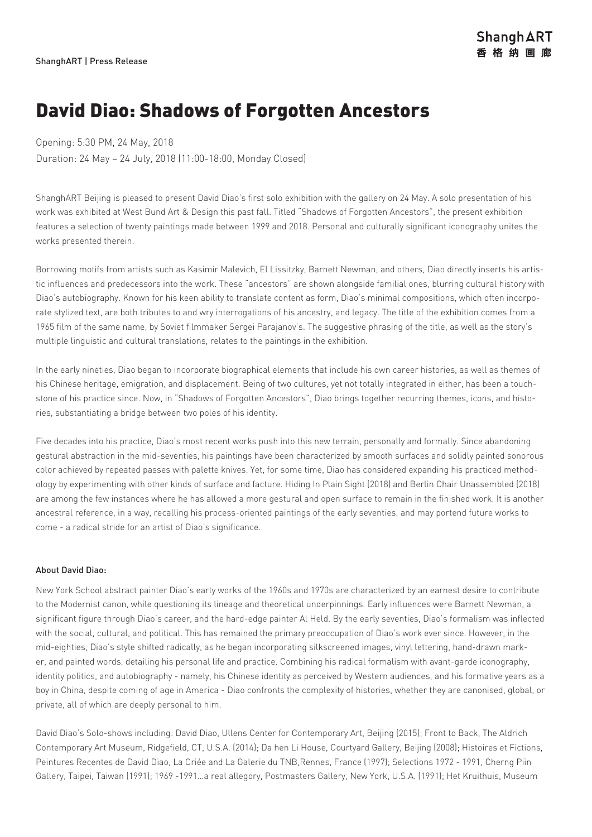## David Diao: Shadows of Forgotten Ancestors

Opening: 5:30 PM, 24 May, 2018

Duration: 24 May – 24 July, 2018 (11:00-18:00, Monday Closed)

ShanghART Beijing is pleased to present David Diao's first solo exhibition with the gallery on 24 May. A solo presentation of his work was exhibited at West Bund Art & Design this past fall. Titled "Shadows of Forgotten Ancestors", the present exhibition features a selection of twenty paintings made between 1999 and 2018. Personal and culturally significant iconography unites the works presented therein.

Borrowing motifs from artists such as Kasimir Malevich, El Lissitzky, Barnett Newman, and others, Diao directly inserts his artistic influences and predecessors into the work. These "ancestors" are shown alongside familial ones, blurring cultural history with Diao's autobiography. Known for his keen ability to translate content as form, Diao's minimal compositions, which often incorporate stylized text, are both tributes to and wry interrogations of his ancestry, and legacy. The title of the exhibition comes from a 1965 film of the same name, by Soviet filmmaker Sergei Parajanov's. The suggestive phrasing of the title, as well as the story's multiple linguistic and cultural translations, relates to the paintings in the exhibition.

In the early nineties, Diao began to incorporate biographical elements that include his own career histories, as well as themes of his Chinese heritage, emigration, and displacement. Being of two cultures, yet not totally integrated in either, has been a touchstone of his practice since. Now, in "Shadows of Forgotten Ancestors", Diao brings together recurring themes, icons, and histories, substantiating a bridge between two poles of his identity.

Five decades into his practice, Diao's most recent works push into this new terrain, personally and formally. Since abandoning gestural abstraction in the mid-seventies, his paintings have been characterized by smooth surfaces and solidly painted sonorous color achieved by repeated passes with palette knives. Yet, for some time, Diao has considered expanding his practiced methodology by experimenting with other kinds of surface and facture. Hiding In Plain Sight (2018) and Berlin Chair Unassembled (2018) are among the few instances where he has allowed a more gestural and open surface to remain in the finished work. It is another ancestral reference, in a way, recalling his process-oriented paintings of the early seventies, and may portend future works to come - a radical stride for an artist of Diao's significance.

### About David Diao:

New York School abstract painter Diao's early works of the 1960s and 1970s are characterized by an earnest desire to contribute to the Modernist canon, while questioning its lineage and theoretical underpinnings. Early influences were Barnett Newman, a significant figure through Diao's career, and the hard-edge painter Al Held. By the early seventies, Diao's formalism was inflected with the social, cultural, and political. This has remained the primary preoccupation of Diao's work ever since. However, in the mid-eighties, Diao's style shifted radically, as he began incorporating silkscreened images, vinyl lettering, hand-drawn marker, and painted words, detailing his personal life and practice. Combining his radical formalism with avant-garde iconography, identity politics, and autobiography - namely, his Chinese identity as perceived by Western audiences, and his formative years as a boy in China, despite coming of age in America - Diao confronts the complexity of histories, whether they are canonised, global, or private, all of which are deeply personal to him.

David Diao's Solo-shows including: David Diao, Ullens Center for Contemporary Art, Beijing (2015); Front to Back, The Aldrich Contemporary Art Museum, Ridgefield, CT, U.S.A. (2014); Da hen Li House, Courtyard Gallery, Beijing (2008); Histoires et Fictions, Peintures Recentes de David Diao, La Criée and La Galerie du TNB,Rennes, France (1997); Selections 1972 - 1991, Cherng Piin Gallery, Taipei, Taiwan (1991); 1969 -1991…a real allegory, Postmasters Gallery, New York, U.S.A. (1991); Het Kruithuis, Museum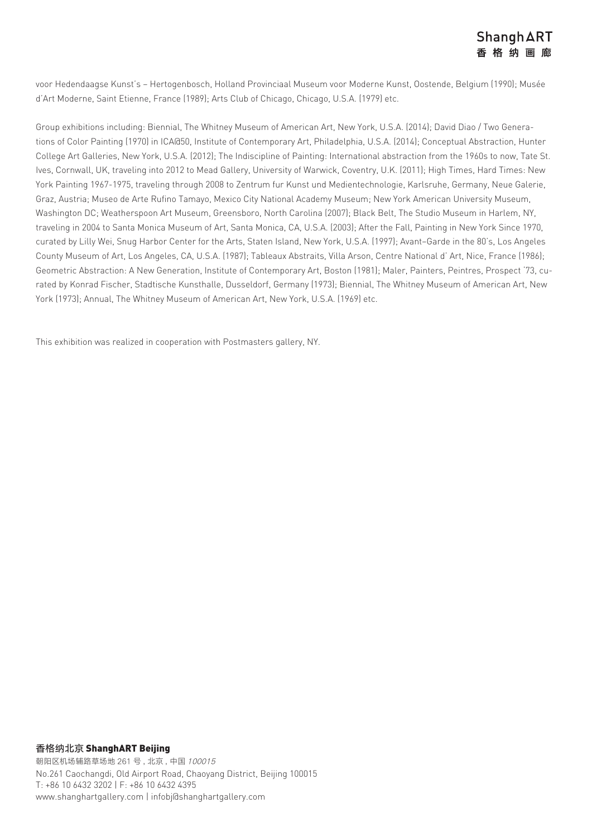voor Hedendaagse Kunst's – Hertogenbosch, Holland Provinciaal Museum voor Moderne Kunst, Oostende, Belgium (1990); Musée d'Art Moderne, Saint Etienne, France (1989); Arts Club of Chicago, Chicago, U.S.A. (1979) etc.

Group exhibitions including: Biennial, The Whitney Museum of American Art, New York, U.S.A. (2014); David Diao / Two Generations of Color Painting (1970) in ICA@50, Institute of Contemporary Art, Philadelphia, U.S.A. (2014); Conceptual Abstraction, Hunter College Art Galleries, New York, U.S.A. (2012); The Indiscipline of Painting: International abstraction from the 1960s to now, Tate St. Ives, Cornwall, UK, traveling into 2012 to Mead Gallery, University of Warwick, Coventry, U.K. (2011); High Times, Hard Times: New York Painting 1967-1975, traveling through 2008 to Zentrum fur Kunst und Medientechnologie, Karlsruhe, Germany, Neue Galerie, Graz, Austria; Museo de Arte Rufino Tamayo, Mexico City National Academy Museum; New York American University Museum, Washington DC; Weatherspoon Art Museum, Greensboro, North Carolina (2007); Black Belt, The Studio Museum in Harlem, NY, traveling in 2004 to Santa Monica Museum of Art, Santa Monica, CA, U.S.A. (2003); After the Fall, Painting in New York Since 1970, curated by Lilly Wei, Snug Harbor Center for the Arts, Staten Island, New York, U.S.A. (1997); Avant–Garde in the 80's, Los Angeles County Museum of Art, Los Angeles, CA, U.S.A. (1987); Tableaux Abstraits, Villa Arson, Centre National d' Art, Nice, France (1986); Geometric Abstraction: A New Generation, Institute of Contemporary Art, Boston (1981); Maler, Painters, Peintres, Prospect '73, curated by Konrad Fischer, Stadtische Kunsthalle, Dusseldorf, Germany (1973); Biennial, The Whitney Museum of American Art, New York (1973); Annual, The Whitney Museum of American Art, New York, U.S.A. (1969) etc.

This exhibition was realized in cooperation with Postmasters gallery, NY.

## 香格纳北京 ShanghART Beijing

朝阳区机场辅路草场地 261 号 , 北京 , 中国 100015 No.261 Caochangdi, Old Airport Road, Chaoyang District, Beijing 100015 T: +86 10 6432 3202 | F: +86 10 6432 4395 www.shanghartgallery.com | infobj@shanghartgallery.com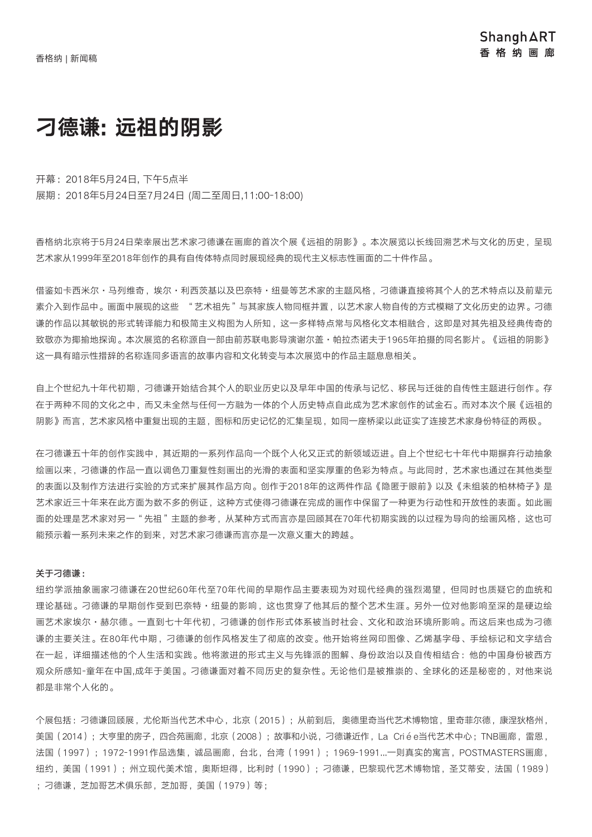# 刁德谦: 远祖的阴影

开幕:2018年5月24日, 下午5点半 展期:2018年5月24日至7月24日 (周二至周日,11:00-18:00)

香格纳北京将于5月24日荣幸展出艺术家刁德谦在画廊的首次个展《远祖的阴影》。本次展览以长线回溯艺术与文化的历史,呈现 艺术家从1999年至2018年创作的具有自传体特点同时展现经典的现代主义标志性画面的二十件作品。

借鉴如卡西米尔·马列维奇,埃尔·利西茨基以及巴奈特·纽曼等艺术家的主题风格,刁德谦直接将其个人的艺术特点以及前辈元 素介入到作品中。画面中展现的这些 "艺术祖先"与其家族人物同框并置,以艺术家人物自传的方式模糊了文化历史的边界。刁德 谦的作品以其敏锐的形式转译能力和极简主义构图为人所知,这一多样特点常与风格化文本相融合,这即是对其先祖及经典传奇的 致敬亦为揶揄地探询。本次展览的名称源自一部由前苏联电影导演谢尔盖·帕拉杰诺夫于1965年拍摄的同名影片。《远祖的阴影》 这一具有暗示性措辞的名称连同多语言的故事内容和文化转变与本次展览中的作品主题息息相关。

自上个世纪九十年代初期,刁德谦开始结合其个人的职业历史以及早年中国的传承与记忆、移民与迁徙的自传性主题进行创作。存 在于两种不同的文化之中,而又未全然与任何一方融为一体的个人历史特点自此成为艺术家创作的试金石。而对本次个展《远祖的 阴影》而言,艺术家风格中重复出现的主题,图标和历史记忆的汇集呈现,如同一座桥梁以此证实了连接艺术家身份特征的两极。

在刁德谦五十年的创作实践中,其近期的一系列作品向一个既个人化又正式的新领域迈进。自上个世纪七十年代中期摒弃行动抽象 绘画以来,刁德谦的作品一直以调色刀重复性刻画出的光滑的表面和坚实厚重的色彩为特点。与此同时,艺术家也通过在其他类型 的表面以及制作方法进行实验的方式来扩展其作品方向。创作于2018年的这两件作品《隐匿于眼前》以及《未组装的柏林椅子》是 艺术家近三十年来在此方面为数不多的例证,这种方式使得刁德谦在完成的画作中保留了一种更为行动性和开放性的表面。如此画 面的处理是艺术家对另一"先祖"主题的参考,从某种方式而言亦是回顾其在70年代初期实践的以过程为导向的绘画风格,这也可 能预示着一系列未来之作的到来,对艺术家刁德谦而言亦是一次意义重大的跨越。

#### 关于刁德谦:

纽约学派抽象画家刁德谦在20世纪60年代至70年代间的早期作品主要表现为对现代经典的强烈渴望,但同时也质疑它的血统和 理论基础。刁德谦的早期创作受到巴奈特·纽曼的影响,这也贯穿了他其后的整个艺术生涯。另外一位对他影响至深的是硬边绘 画艺术家埃尔·赫尔德。一直到七十年代初,刁德谦的创作形式体系被当时社会、文化和政治环境所影响。而这后来也成为刁德 谦的主要关注。在80年代中期,刁德谦的创作风格发生了彻底的改变。他开始将丝网印图像、乙烯基字母、手绘标记和文字结合 在一起,详细描述他的个人生活和实践。他将激进的形式主义与先锋派的图解、身份政治以及自传相结合:他的中国身份被西方 观众所感知-童年在中国,成年于美国。刁德谦面对着不同历史的复杂性。无论他们是被推崇的、全球化的还是秘密的,对他来说 都是非常个人化的。

个展包括:刁德谦回顾展,尤伦斯当代艺术中心,北京(2015);从前到后, 奥德里奇当代艺术博物馆,里奇菲尔德,康涅狄格州, 美国(2014):大亨里的房子,四合苑画廊,北京(2008);故事和小说,刁德谦近作,La Criée当代艺术中心;TNB画廊,雷恩, 法国(1997);1972-1991作品选集,诚品画廊,台北,台湾(1991);1969-1991...一则真实的寓言,POSTMASTERS画廊, 纽约,美国(1991);州立现代美术馆,奥斯坦得,比利时(1990);刁德谦,巴黎现代艺术博物馆,圣艾蒂安,法国(1989) ;刁德谦,芝加哥艺术俱乐部,芝加哥,美国(1979)等;